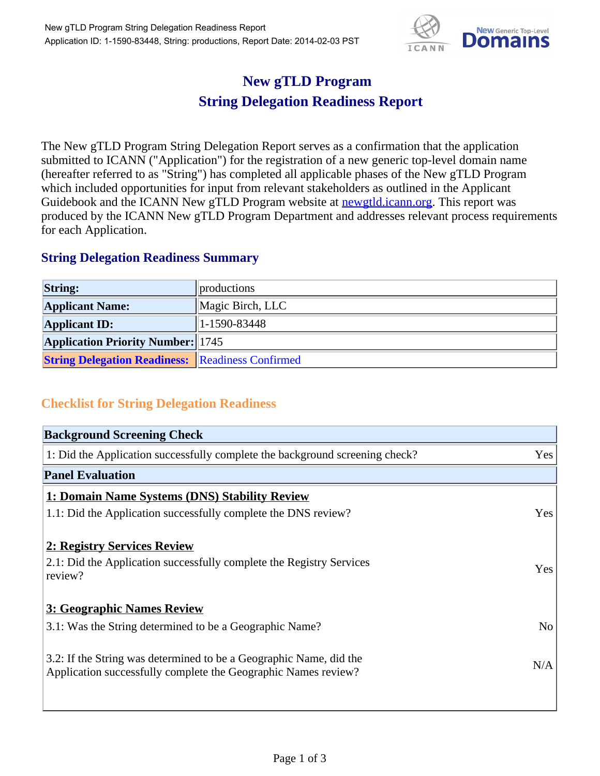

## **New gTLD Program String Delegation Readiness Report**

The New gTLD Program String Delegation Report serves as a confirmation that the application submitted to ICANN ("Application") for the registration of a new generic top-level domain name (hereafter referred to as "String") has completed all applicable phases of the New gTLD Program which included opportunities for input from relevant stakeholders as outlined in the Applicant Guidebook and the ICANN New gTLD Program website at **newgtld.icann.org**. This report was produced by the ICANN New gTLD Program Department and addresses relevant process requirements for each Application.

## **String Delegation Readiness Summary**

| <b>String:</b>                                          | <i>n</i> productions |
|---------------------------------------------------------|----------------------|
| <b>Applicant Name:</b>                                  | Magic Birch, LLC     |
| <b>Applicant ID:</b>                                    | $1-1590-83448$       |
| <b>Application Priority Number:</b> 1745                |                      |
| <b>String Delegation Readiness: Readiness Confirmed</b> |                      |

## **Checklist for String Delegation Readiness**

| <b>Background Screening Check</b>                                                                                                    |                |  |  |
|--------------------------------------------------------------------------------------------------------------------------------------|----------------|--|--|
| 1: Did the Application successfully complete the background screening check?                                                         | Yes            |  |  |
| <b>Panel Evaluation</b>                                                                                                              |                |  |  |
| 1: Domain Name Systems (DNS) Stability Review                                                                                        |                |  |  |
| 1.1: Did the Application successfully complete the DNS review?                                                                       | Yes            |  |  |
| 2: Registry Services Review                                                                                                          |                |  |  |
| 2.1: Did the Application successfully complete the Registry Services<br>review?                                                      | Yes            |  |  |
| 3: Geographic Names Review                                                                                                           |                |  |  |
| 3.1: Was the String determined to be a Geographic Name?                                                                              | N <sub>o</sub> |  |  |
| 3.2: If the String was determined to be a Geographic Name, did the<br>Application successfully complete the Geographic Names review? | N/A            |  |  |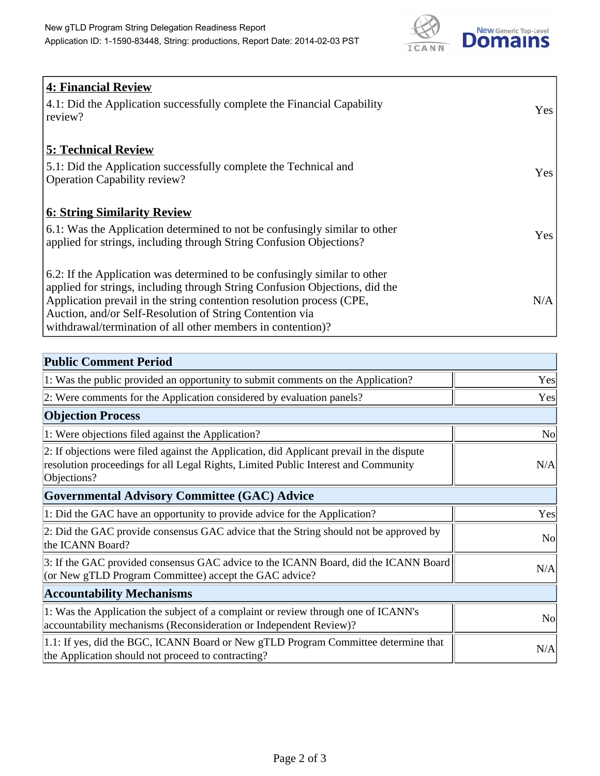

| 4: Financial Review<br>$\vert$ 4.1: Did the Application successfully complete the Financial Capability<br>review?                                                                                                                                                                                                                                            | <b>Yes</b> |
|--------------------------------------------------------------------------------------------------------------------------------------------------------------------------------------------------------------------------------------------------------------------------------------------------------------------------------------------------------------|------------|
| <b>5: Technical Review</b><br>5.1: Did the Application successfully complete the Technical and<br><b>Operation Capability review?</b>                                                                                                                                                                                                                        | Yes        |
| <b>6: String Similarity Review</b><br>$\vert$ 6.1: Was the Application determined to not be confusingly similar to other<br>applied for strings, including through String Confusion Objections?                                                                                                                                                              | Yes        |
| 6.2: If the Application was determined to be confusingly similar to other<br>applied for strings, including through String Confusion Objections, did the<br>Application prevail in the string contention resolution process (CPE,<br>Auction, and/or Self-Resolution of String Contention via<br>withdrawal/termination of all other members in contention)? | N/A        |

| <b>Public Comment Period</b>                                                                                                                                                                   |                |  |  |  |
|------------------------------------------------------------------------------------------------------------------------------------------------------------------------------------------------|----------------|--|--|--|
| 1: Was the public provided an opportunity to submit comments on the Application?                                                                                                               | Yes            |  |  |  |
| 2: Were comments for the Application considered by evaluation panels?                                                                                                                          | Yes            |  |  |  |
| <b>Objection Process</b>                                                                                                                                                                       |                |  |  |  |
| 1: Were objections filed against the Application?                                                                                                                                              | N <sub>0</sub> |  |  |  |
| 2: If objections were filed against the Application, did Applicant prevail in the dispute<br>resolution proceedings for all Legal Rights, Limited Public Interest and Community<br>Objections? | N/A            |  |  |  |
| Governmental Advisory Committee (GAC) Advice                                                                                                                                                   |                |  |  |  |
| 1: Did the GAC have an opportunity to provide advice for the Application?                                                                                                                      | Yes            |  |  |  |
| 2: Did the GAC provide consensus GAC advice that the String should not be approved by<br>the ICANN Board?                                                                                      | <b>No</b>      |  |  |  |
| 3: If the GAC provided consensus GAC advice to the ICANN Board, did the ICANN Board<br>(or New gTLD Program Committee) accept the GAC advice?                                                  | N/A            |  |  |  |
| <b>Accountability Mechanisms</b>                                                                                                                                                               |                |  |  |  |
| 1: Was the Application the subject of a complaint or review through one of ICANN's<br>accountability mechanisms (Reconsideration or Independent Review)?                                       | N <sub>0</sub> |  |  |  |
| 1.1: If yes, did the BGC, ICANN Board or New gTLD Program Committee determine that<br>the Application should not proceed to contracting?                                                       | N/A            |  |  |  |